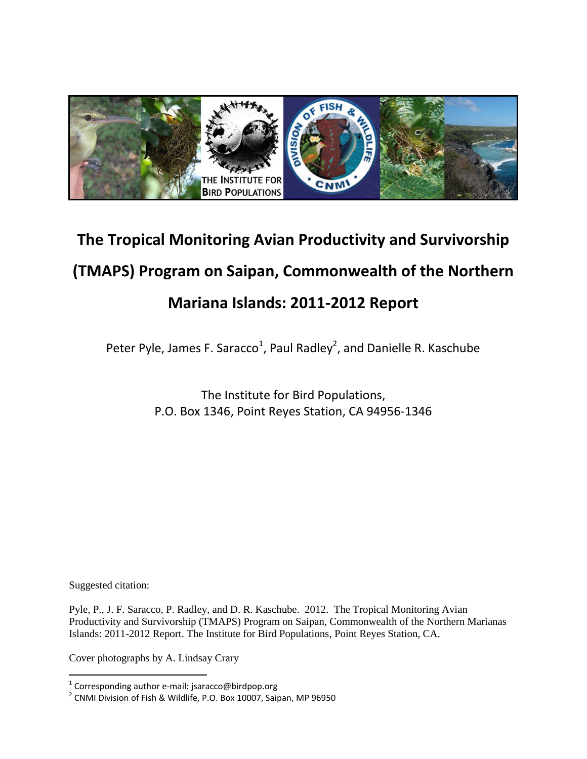

# **The Tropical Monitoring Avian Productivity and Survivorship (TMAPS) Program on Saipan, Commonwealth of the Northern Mariana Islands: 2011-2012 Report**

Peter Pyle, James F. Saracco<sup>1</sup>, Paul Radley<sup>2</sup>, and Danielle R. Kaschube

The Institute for Bird Populations, P.O. Box 1346, Point Reyes Station, CA 94956-1346

Suggested citation:

Pyle, P., J. F. Saracco, P. Radley, and D. R. Kaschube. 2012. The Tropical Monitoring Avian Productivity and Survivorship (TMAPS) Program on Saipan, Commonwealth of the Northern Marianas Islands: 2011-2012 Report. The Institute for Bird Populations, Point Reyes Station, CA.

Cover photographs by A. Lindsay Crary

 1 Corresponding author e-mail: jsaracco@birdpop.org

 $^2$  CNMI Division of Fish & Wildlife, P.O. Box 10007, Saipan, MP 96950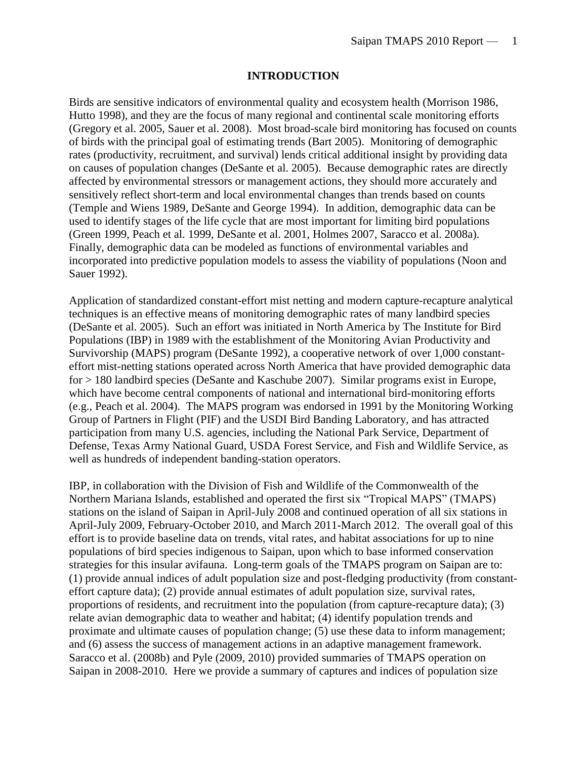#### **INTRODUCTION**

Birds are sensitive indicators of environmental quality and ecosystem health (Morrison 1986, Hutto 1998), and they are the focus of many regional and continental scale monitoring efforts (Gregory et al. 2005, Sauer et al. 2008). Most broad-scale bird monitoring has focused on counts of birds with the principal goal of estimating trends (Bart 2005). Monitoring of demographic rates (productivity, recruitment, and survival) lends critical additional insight by providing data on causes of population changes (DeSante et al. 2005). Because demographic rates are directly affected by environmental stressors or management actions, they should more accurately and sensitively reflect short-term and local environmental changes than trends based on counts (Temple and Wiens 1989, DeSante and George 1994). In addition, demographic data can be used to identify stages of the life cycle that are most important for limiting bird populations (Green 1999, Peach et al. 1999, DeSante et al. 2001, Holmes 2007, Saracco et al. 2008a). Finally, demographic data can be modeled as functions of environmental variables and incorporated into predictive population models to assess the viability of populations (Noon and Sauer 1992).

Application of standardized constant-effort mist netting and modern capture-recapture analytical techniques is an effective means of monitoring demographic rates of many landbird species (DeSante et al. 2005). Such an effort was initiated in North America by The Institute for Bird Populations (IBP) in 1989 with the establishment of the Monitoring Avian Productivity and Survivorship (MAPS) program (DeSante 1992), a cooperative network of over 1,000 constanteffort mist-netting stations operated across North America that have provided demographic data for > 180 landbird species (DeSante and Kaschube 2007). Similar programs exist in Europe, which have become central components of national and international bird-monitoring efforts (e.g., Peach et al. 2004). The MAPS program was endorsed in 1991 by the Monitoring Working Group of Partners in Flight (PIF) and the USDI Bird Banding Laboratory, and has attracted participation from many U.S. agencies, including the National Park Service, Department of Defense, Texas Army National Guard, USDA Forest Service, and Fish and Wildlife Service, as well as hundreds of independent banding-station operators.

IBP, in collaboration with the Division of Fish and Wildlife of the Commonwealth of the Northern Mariana Islands, established and operated the first six "Tropical MAPS" (TMAPS) stations on the island of Saipan in April-July 2008 and continued operation of all six stations in April-July 2009, February-October 2010, and March 2011-March 2012. The overall goal of this effort is to provide baseline data on trends, vital rates, and habitat associations for up to nine populations of bird species indigenous to Saipan, upon which to base informed conservation strategies for this insular avifauna. Long-term goals of the TMAPS program on Saipan are to: (1) provide annual indices of adult population size and post-fledging productivity (from constanteffort capture data); (2) provide annual estimates of adult population size, survival rates, proportions of residents, and recruitment into the population (from capture-recapture data); (3) relate avian demographic data to weather and habitat; (4) identify population trends and proximate and ultimate causes of population change; (5) use these data to inform management; and (6) assess the success of management actions in an adaptive management framework. Saracco et al. (2008b) and Pyle (2009, 2010) provided summaries of TMAPS operation on Saipan in 2008-2010. Here we provide a summary of captures and indices of population size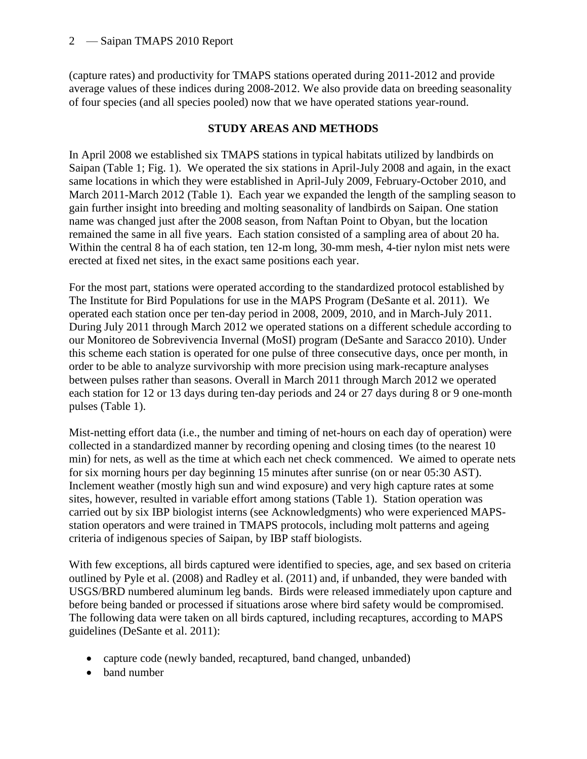(capture rates) and productivity for TMAPS stations operated during 2011-2012 and provide average values of these indices during 2008-2012. We also provide data on breeding seasonality of four species (and all species pooled) now that we have operated stations year-round.

#### **STUDY AREAS AND METHODS**

In April 2008 we established six TMAPS stations in typical habitats utilized by landbirds on Saipan (Table 1; Fig. 1). We operated the six stations in April-July 2008 and again, in the exact same locations in which they were established in April-July 2009, February-October 2010, and March 2011-March 2012 (Table 1). Each year we expanded the length of the sampling season to gain further insight into breeding and molting seasonality of landbirds on Saipan. One station name was changed just after the 2008 season, from Naftan Point to Obyan, but the location remained the same in all five years. Each station consisted of a sampling area of about 20 ha. Within the central 8 ha of each station, ten 12-m long, 30-mm mesh, 4-tier nylon mist nets were erected at fixed net sites, in the exact same positions each year.

For the most part, stations were operated according to the standardized protocol established by The Institute for Bird Populations for use in the MAPS Program (DeSante et al. 2011). We operated each station once per ten-day period in 2008, 2009, 2010, and in March-July 2011. During July 2011 through March 2012 we operated stations on a different schedule according to our Monitoreo de Sobrevivencia Invernal (MoSI) program (DeSante and Saracco 2010). Under this scheme each station is operated for one pulse of three consecutive days, once per month, in order to be able to analyze survivorship with more precision using mark-recapture analyses between pulses rather than seasons. Overall in March 2011 through March 2012 we operated each station for 12 or 13 days during ten-day periods and 24 or 27 days during 8 or 9 one-month pulses (Table 1).

Mist-netting effort data (i.e., the number and timing of net-hours on each day of operation) were collected in a standardized manner by recording opening and closing times (to the nearest 10 min) for nets, as well as the time at which each net check commenced. We aimed to operate nets for six morning hours per day beginning 15 minutes after sunrise (on or near 05:30 AST). Inclement weather (mostly high sun and wind exposure) and very high capture rates at some sites, however, resulted in variable effort among stations (Table 1). Station operation was carried out by six IBP biologist interns (see Acknowledgments) who were experienced MAPSstation operators and were trained in TMAPS protocols, including molt patterns and ageing criteria of indigenous species of Saipan, by IBP staff biologists.

With few exceptions, all birds captured were identified to species, age, and sex based on criteria outlined by Pyle et al. (2008) and Radley et al. (2011) and, if unbanded, they were banded with USGS/BRD numbered aluminum leg bands. Birds were released immediately upon capture and before being banded or processed if situations arose where bird safety would be compromised. The following data were taken on all birds captured, including recaptures, according to MAPS guidelines (DeSante et al. 2011):

- capture code (newly banded, recaptured, band changed, unbanded)
- band number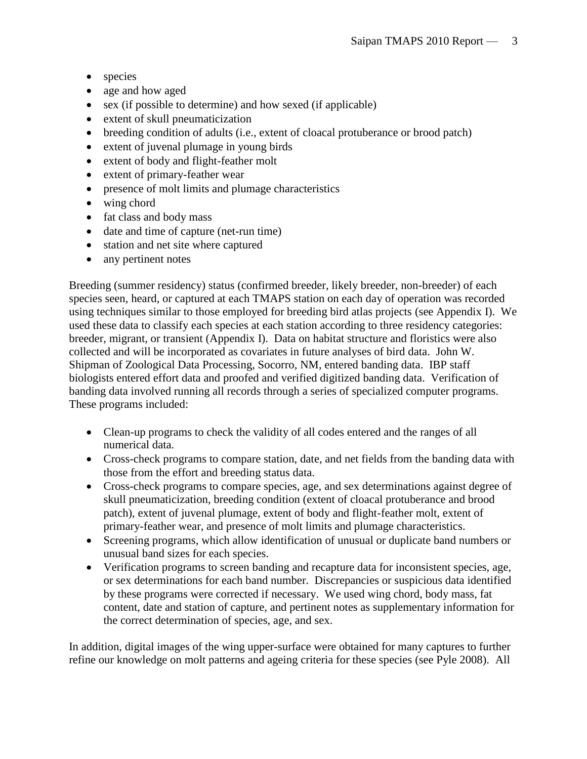- species
- age and how aged
- sex (if possible to determine) and how sexed (if applicable)
- extent of skull pneumaticization
- breeding condition of adults (i.e., extent of cloacal protuberance or brood patch)
- extent of juvenal plumage in young birds
- extent of body and flight-feather molt
- extent of primary-feather wear
- presence of molt limits and plumage characteristics
- wing chord
- fat class and body mass
- date and time of capture (net-run time)
- station and net site where captured
- any pertinent notes

Breeding (summer residency) status (confirmed breeder, likely breeder, non-breeder) of each species seen, heard, or captured at each TMAPS station on each day of operation was recorded using techniques similar to those employed for breeding bird atlas projects (see Appendix I). We used these data to classify each species at each station according to three residency categories: breeder, migrant, or transient (Appendix I). Data on habitat structure and floristics were also collected and will be incorporated as covariates in future analyses of bird data. John W. Shipman of Zoological Data Processing, Socorro, NM, entered banding data. IBP staff biologists entered effort data and proofed and verified digitized banding data. Verification of banding data involved running all records through a series of specialized computer programs. These programs included:

- Clean-up programs to check the validity of all codes entered and the ranges of all numerical data.
- Cross-check programs to compare station, date, and net fields from the banding data with those from the effort and breeding status data.
- Cross-check programs to compare species, age, and sex determinations against degree of skull pneumaticization, breeding condition (extent of cloacal protuberance and brood patch), extent of juvenal plumage, extent of body and flight-feather molt, extent of primary-feather wear, and presence of molt limits and plumage characteristics.
- Screening programs, which allow identification of unusual or duplicate band numbers or unusual band sizes for each species.
- Verification programs to screen banding and recapture data for inconsistent species, age, or sex determinations for each band number. Discrepancies or suspicious data identified by these programs were corrected if necessary. We used wing chord, body mass, fat content, date and station of capture, and pertinent notes as supplementary information for the correct determination of species, age, and sex.

In addition, digital images of the wing upper-surface were obtained for many captures to further refine our knowledge on molt patterns and ageing criteria for these species (see Pyle 2008). All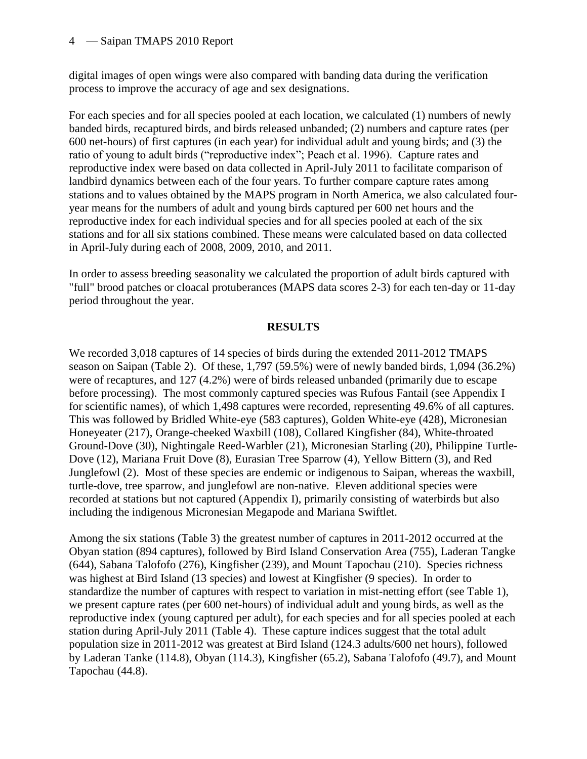digital images of open wings were also compared with banding data during the verification process to improve the accuracy of age and sex designations.

For each species and for all species pooled at each location, we calculated (1) numbers of newly banded birds, recaptured birds, and birds released unbanded; (2) numbers and capture rates (per 600 net-hours) of first captures (in each year) for individual adult and young birds; and (3) the ratio of young to adult birds ("reproductive index"; Peach et al. 1996). Capture rates and reproductive index were based on data collected in April-July 2011 to facilitate comparison of landbird dynamics between each of the four years. To further compare capture rates among stations and to values obtained by the MAPS program in North America, we also calculated fouryear means for the numbers of adult and young birds captured per 600 net hours and the reproductive index for each individual species and for all species pooled at each of the six stations and for all six stations combined. These means were calculated based on data collected in April-July during each of 2008, 2009, 2010, and 2011.

In order to assess breeding seasonality we calculated the proportion of adult birds captured with "full" brood patches or cloacal protuberances (MAPS data scores 2-3) for each ten-day or 11-day period throughout the year.

#### **RESULTS**

We recorded 3,018 captures of 14 species of birds during the extended 2011-2012 TMAPS season on Saipan (Table 2). Of these, 1,797 (59.5%) were of newly banded birds, 1,094 (36.2%) were of recaptures, and 127 (4.2%) were of birds released unbanded (primarily due to escape before processing). The most commonly captured species was Rufous Fantail (see Appendix I for scientific names), of which 1,498 captures were recorded, representing 49.6% of all captures. This was followed by Bridled White-eye (583 captures), Golden White-eye (428), Micronesian Honeyeater (217), Orange-cheeked Waxbill (108), Collared Kingfisher (84), White-throated Ground-Dove (30), Nightingale Reed-Warbler (21), Micronesian Starling (20), Philippine Turtle-Dove (12), Mariana Fruit Dove (8), Eurasian Tree Sparrow (4), Yellow Bittern (3), and Red Junglefowl (2). Most of these species are endemic or indigenous to Saipan, whereas the waxbill, turtle-dove, tree sparrow, and junglefowl are non-native. Eleven additional species were recorded at stations but not captured (Appendix I), primarily consisting of waterbirds but also including the indigenous Micronesian Megapode and Mariana Swiftlet.

Among the six stations (Table 3) the greatest number of captures in 2011-2012 occurred at the Obyan station (894 captures), followed by Bird Island Conservation Area (755), Laderan Tangke (644), Sabana Talofofo (276), Kingfisher (239), and Mount Tapochau (210). Species richness was highest at Bird Island (13 species) and lowest at Kingfisher (9 species). In order to standardize the number of captures with respect to variation in mist-netting effort (see Table 1), we present capture rates (per 600 net-hours) of individual adult and young birds, as well as the reproductive index (young captured per adult), for each species and for all species pooled at each station during April-July 2011 (Table 4). These capture indices suggest that the total adult population size in 2011-2012 was greatest at Bird Island (124.3 adults/600 net hours), followed by Laderan Tanke (114.8), Obyan (114.3), Kingfisher (65.2), Sabana Talofofo (49.7), and Mount Tapochau (44.8).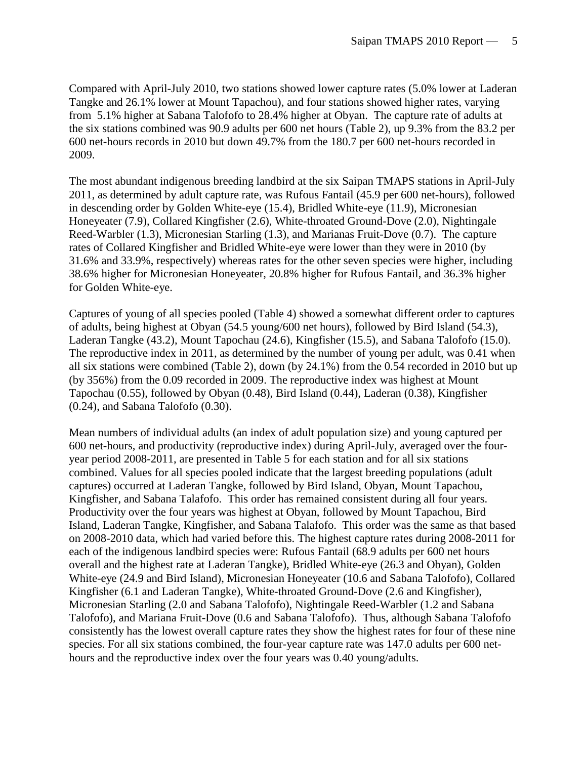Compared with April-July 2010, two stations showed lower capture rates (5.0% lower at Laderan Tangke and 26.1% lower at Mount Tapachou), and four stations showed higher rates, varying from 5.1% higher at Sabana Talofofo to 28.4% higher at Obyan. The capture rate of adults at the six stations combined was 90.9 adults per 600 net hours (Table 2), up 9.3% from the 83.2 per 600 net-hours records in 2010 but down 49.7% from the 180.7 per 600 net-hours recorded in 2009.

The most abundant indigenous breeding landbird at the six Saipan TMAPS stations in April-July 2011, as determined by adult capture rate, was Rufous Fantail (45.9 per 600 net-hours), followed in descending order by Golden White-eye (15.4), Bridled White-eye (11.9), Micronesian Honeyeater (7.9), Collared Kingfisher (2.6), White-throated Ground-Dove (2.0), Nightingale Reed-Warbler (1.3), Micronesian Starling (1.3), and Marianas Fruit-Dove (0.7). The capture rates of Collared Kingfisher and Bridled White-eye were lower than they were in 2010 (by 31.6% and 33.9%, respectively) whereas rates for the other seven species were higher, including 38.6% higher for Micronesian Honeyeater, 20.8% higher for Rufous Fantail, and 36.3% higher for Golden White-eye.

Captures of young of all species pooled (Table 4) showed a somewhat different order to captures of adults, being highest at Obyan (54.5 young/600 net hours), followed by Bird Island (54.3), Laderan Tangke (43.2), Mount Tapochau (24.6), Kingfisher (15.5), and Sabana Talofofo (15.0). The reproductive index in 2011, as determined by the number of young per adult, was 0.41 when all six stations were combined (Table 2), down (by 24.1%) from the 0.54 recorded in 2010 but up (by 356%) from the 0.09 recorded in 2009. The reproductive index was highest at Mount Tapochau (0.55), followed by Obyan (0.48), Bird Island (0.44), Laderan (0.38), Kingfisher (0.24), and Sabana Talofofo (0.30).

Mean numbers of individual adults (an index of adult population size) and young captured per 600 net-hours, and productivity (reproductive index) during April-July, averaged over the fouryear period 2008-2011, are presented in Table 5 for each station and for all six stations combined. Values for all species pooled indicate that the largest breeding populations (adult captures) occurred at Laderan Tangke, followed by Bird Island, Obyan, Mount Tapachou, Kingfisher, and Sabana Talafofo. This order has remained consistent during all four years. Productivity over the four years was highest at Obyan, followed by Mount Tapachou, Bird Island, Laderan Tangke, Kingfisher, and Sabana Talafofo. This order was the same as that based on 2008-2010 data, which had varied before this. The highest capture rates during 2008-2011 for each of the indigenous landbird species were: Rufous Fantail (68.9 adults per 600 net hours overall and the highest rate at Laderan Tangke), Bridled White-eye (26.3 and Obyan), Golden White-eye (24.9 and Bird Island), Micronesian Honeyeater (10.6 and Sabana Talofofo), Collared Kingfisher (6.1 and Laderan Tangke), White-throated Ground-Dove (2.6 and Kingfisher), Micronesian Starling (2.0 and Sabana Talofofo), Nightingale Reed-Warbler (1.2 and Sabana Talofofo), and Mariana Fruit-Dove (0.6 and Sabana Talofofo). Thus, although Sabana Talofofo consistently has the lowest overall capture rates they show the highest rates for four of these nine species. For all six stations combined, the four-year capture rate was 147.0 adults per 600 nethours and the reproductive index over the four years was 0.40 young/adults.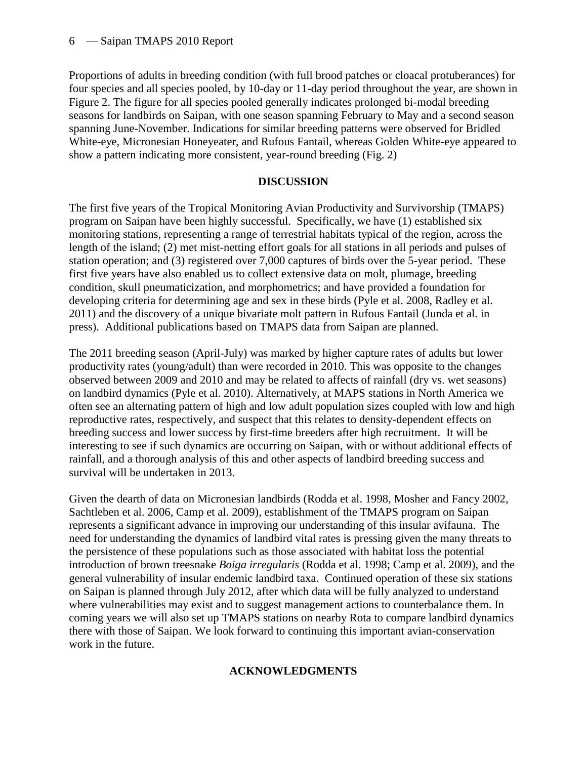Proportions of adults in breeding condition (with full brood patches or cloacal protuberances) for four species and all species pooled, by 10-day or 11-day period throughout the year, are shown in Figure 2. The figure for all species pooled generally indicates prolonged bi-modal breeding seasons for landbirds on Saipan, with one season spanning February to May and a second season spanning June-November. Indications for similar breeding patterns were observed for Bridled White-eye, Micronesian Honeyeater, and Rufous Fantail, whereas Golden White-eye appeared to show a pattern indicating more consistent, year-round breeding (Fig. 2)

#### **DISCUSSION**

The first five years of the Tropical Monitoring Avian Productivity and Survivorship (TMAPS) program on Saipan have been highly successful. Specifically, we have (1) established six monitoring stations, representing a range of terrestrial habitats typical of the region, across the length of the island; (2) met mist-netting effort goals for all stations in all periods and pulses of station operation; and (3) registered over 7,000 captures of birds over the 5-year period. These first five years have also enabled us to collect extensive data on molt, plumage, breeding condition, skull pneumaticization, and morphometrics; and have provided a foundation for developing criteria for determining age and sex in these birds (Pyle et al. 2008, Radley et al. 2011) and the discovery of a unique bivariate molt pattern in Rufous Fantail (Junda et al. in press). Additional publications based on TMAPS data from Saipan are planned.

The 2011 breeding season (April-July) was marked by higher capture rates of adults but lower productivity rates (young/adult) than were recorded in 2010. This was opposite to the changes observed between 2009 and 2010 and may be related to affects of rainfall (dry vs. wet seasons) on landbird dynamics (Pyle et al. 2010). Alternatively, at MAPS stations in North America we often see an alternating pattern of high and low adult population sizes coupled with low and high reproductive rates, respectively, and suspect that this relates to density-dependent effects on breeding success and lower success by first-time breeders after high recruitment. It will be interesting to see if such dynamics are occurring on Saipan, with or without additional effects of rainfall, and a thorough analysis of this and other aspects of landbird breeding success and survival will be undertaken in 2013.

Given the dearth of data on Micronesian landbirds (Rodda et al. 1998, Mosher and Fancy 2002, Sachtleben et al. 2006, Camp et al. 2009), establishment of the TMAPS program on Saipan represents a significant advance in improving our understanding of this insular avifauna. The need for understanding the dynamics of landbird vital rates is pressing given the many threats to the persistence of these populations such as those associated with habitat loss the potential introduction of brown treesnake *Boiga irregularis* (Rodda et al. 1998; Camp et al. 2009), and the general vulnerability of insular endemic landbird taxa. Continued operation of these six stations on Saipan is planned through July 2012, after which data will be fully analyzed to understand where vulnerabilities may exist and to suggest management actions to counterbalance them. In coming years we will also set up TMAPS stations on nearby Rota to compare landbird dynamics there with those of Saipan. We look forward to continuing this important avian-conservation work in the future.

#### **ACKNOWLEDGMENTS**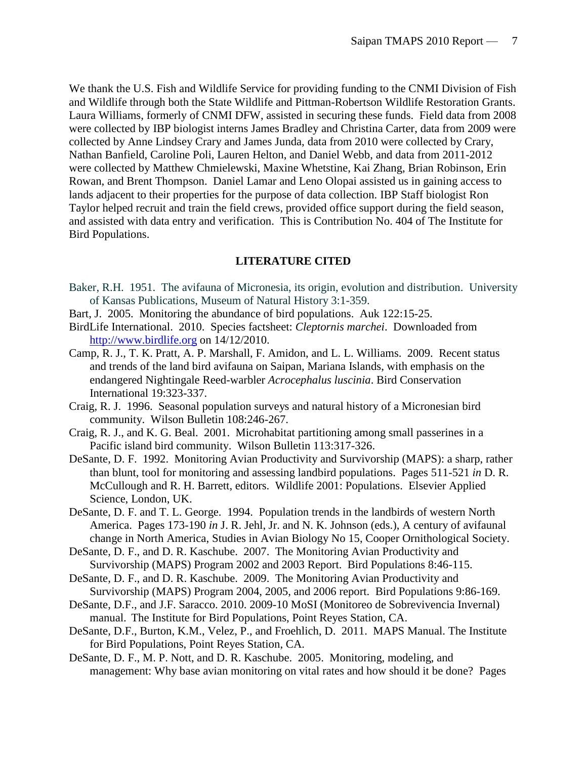We thank the U.S. Fish and Wildlife Service for providing funding to the CNMI Division of Fish and Wildlife through both the State Wildlife and Pittman-Robertson Wildlife Restoration Grants. Laura Williams, formerly of CNMI DFW, assisted in securing these funds. Field data from 2008 were collected by IBP biologist interns James Bradley and Christina Carter, data from 2009 were collected by Anne Lindsey Crary and James Junda, data from 2010 were collected by Crary, Nathan Banfield, Caroline Poli, Lauren Helton, and Daniel Webb, and data from 2011-2012 were collected by Matthew Chmielewski, Maxine Whetstine, Kai Zhang, Brian Robinson, Erin Rowan, and Brent Thompson. Daniel Lamar and Leno Olopai assisted us in gaining access to lands adjacent to their properties for the purpose of data collection. IBP Staff biologist Ron Taylor helped recruit and train the field crews, provided office support during the field season, and assisted with data entry and verification. This is Contribution No. 404 of The Institute for Bird Populations.

#### **LITERATURE CITED**

- Baker, R.H. 1951. The avifauna of Micronesia, its origin, evolution and distribution. University of Kansas Publications, Museum of Natural History 3:1-359.
- Bart, J. 2005. Monitoring the abundance of bird populations. Auk 122:15-25.
- BirdLife International. 2010. Species factsheet: *Cleptornis marchei*. Downloaded from [http://www.birdlife.org](http://www.birdlife.org/) on 14/12/2010.
- Camp, R. J., T. K. Pratt, A. P. Marshall, F. Amidon, and L. L. Williams. 2009. Recent status and trends of the land bird avifauna on Saipan, Mariana Islands, with emphasis on the endangered Nightingale Reed-warbler *Acrocephalus luscinia*. Bird Conservation International 19:323-337.
- Craig, R. J. 1996. Seasonal population surveys and natural history of a Micronesian bird community. Wilson Bulletin 108:246-267.
- Craig, R. J., and K. G. Beal. 2001. Microhabitat partitioning among small passerines in a Pacific island bird community. Wilson Bulletin 113:317-326.
- DeSante, D. F. 1992. Monitoring Avian Productivity and Survivorship (MAPS): a sharp, rather than blunt, tool for monitoring and assessing landbird populations. Pages 511-521 *in* D. R. McCullough and R. H. Barrett, editors. Wildlife 2001: Populations. Elsevier Applied Science, London, UK.
- DeSante, D. F. and T. L. George. 1994. Population trends in the landbirds of western North America. Pages 173-190 *in* J. R. Jehl, Jr. and N. K. Johnson (eds.), A century of avifaunal change in North America, Studies in Avian Biology No 15, Cooper Ornithological Society.
- DeSante, D. F., and D. R. Kaschube. 2007. The Monitoring Avian Productivity and Survivorship (MAPS) Program 2002 and 2003 Report. Bird Populations 8:46-115.
- DeSante, D. F., and D. R. Kaschube. 2009. The Monitoring Avian Productivity and Survivorship (MAPS) Program 2004, 2005, and 2006 report. Bird Populations 9:86-169.
- DeSante, D.F., and J.F. Saracco. 2010. 2009-10 MoSI (Monitoreo de Sobrevivencia Invernal) manual. The Institute for Bird Populations, Point Reyes Station, CA.
- DeSante, D.F., Burton, K.M., Velez, P., and Froehlich, D. 2011. MAPS Manual. The Institute for Bird Populations, Point Reyes Station, CA.
- DeSante, D. F., M. P. Nott, and D. R. Kaschube. 2005. Monitoring, modeling, and management: Why base avian monitoring on vital rates and how should it be done? Pages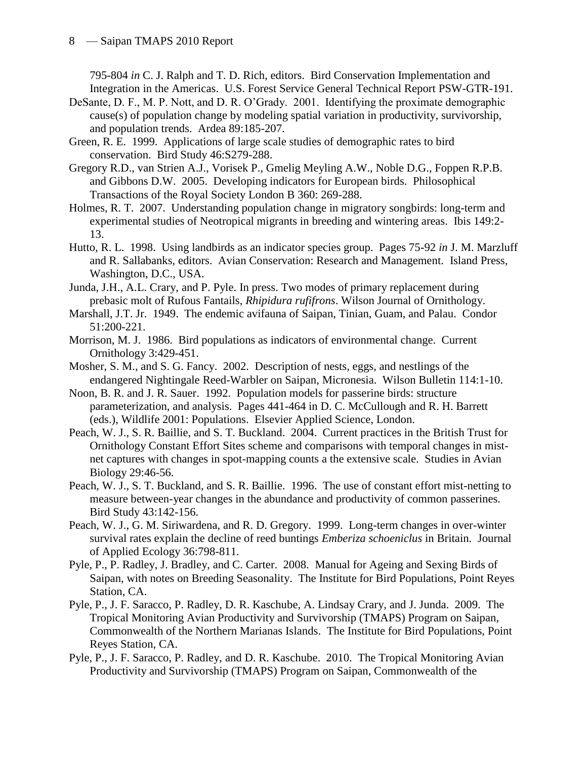795-804 *in* C. J. Ralph and T. D. Rich, editors. Bird Conservation Implementation and Integration in the Americas. U.S. Forest Service General Technical Report PSW-GTR-191.

- DeSante, D. F., M. P. Nott, and D. R. O'Grady. 2001. Identifying the proximate demographic cause(s) of population change by modeling spatial variation in productivity, survivorship, and population trends. Ardea 89:185-207.
- Green, R. E. 1999. Applications of large scale studies of demographic rates to bird conservation. Bird Study 46:S279-288.
- Gregory R.D., van Strien A.J., Vorisek P., Gmelig Meyling A.W., Noble D.G., Foppen R.P.B. and Gibbons D.W. 2005. Developing indicators for European birds. Philosophical Transactions of the Royal Society London B 360: 269-288.
- Holmes, R. T. 2007. Understanding population change in migratory songbirds: long-term and experimental studies of Neotropical migrants in breeding and wintering areas. Ibis 149:2- 13.
- Hutto, R. L. 1998. Using landbirds as an indicator species group. Pages 75-92 *in* J. M. Marzluff and R. Sallabanks, editors. Avian Conservation: Research and Management. Island Press, Washington, D.C., USA.
- Junda, J.H., A.L. Crary, and P. Pyle. In press. Two modes of primary replacement during prebasic molt of Rufous Fantails, *Rhipidura rufifrons*. Wilson Journal of Ornithology.
- Marshall, J.T. Jr. 1949. The endemic avifauna of Saipan, Tinian, Guam, and Palau. Condor 51:200-221.
- Morrison, M. J. 1986. Bird populations as indicators of environmental change. Current Ornithology 3:429-451.
- Mosher, S. M., and S. G. Fancy. 2002. Description of nests, eggs, and nestlings of the endangered Nightingale Reed-Warbler on Saipan, Micronesia. Wilson Bulletin 114:1-10.
- Noon, B. R. and J. R. Sauer. 1992. Population models for passerine birds: structure parameterization, and analysis. Pages 441-464 in D. C. McCullough and R. H. Barrett (eds.), Wildlife 2001: Populations. Elsevier Applied Science, London.
- Peach, W. J., S. R. Baillie, and S. T. Buckland. 2004. Current practices in the British Trust for Ornithology Constant Effort Sites scheme and comparisons with temporal changes in mistnet captures with changes in spot-mapping counts a the extensive scale. Studies in Avian Biology 29:46-56.
- Peach, W. J., S. T. Buckland, and S. R. Baillie. 1996. The use of constant effort mist-netting to measure between-year changes in the abundance and productivity of common passerines. Bird Study 43:142-156.
- Peach, W. J., G. M. Siriwardena, and R. D. Gregory. 1999. Long-term changes in over-winter survival rates explain the decline of reed buntings *Emberiza schoeniclus* in Britain. Journal of Applied Ecology 36:798-811.
- Pyle, P., P. Radley, J. Bradley, and C. Carter. 2008. Manual for Ageing and Sexing Birds of Saipan, with notes on Breeding Seasonality. The Institute for Bird Populations, Point Reyes Station, CA.
- Pyle, P., J. F. Saracco, P. Radley, D. R. Kaschube, A. Lindsay Crary, and J. Junda. 2009. The Tropical Monitoring Avian Productivity and Survivorship (TMAPS) Program on Saipan, Commonwealth of the Northern Marianas Islands. The Institute for Bird Populations, Point Reyes Station, CA.
- Pyle, P., J. F. Saracco, P. Radley, and D. R. Kaschube. 2010. The Tropical Monitoring Avian Productivity and Survivorship (TMAPS) Program on Saipan, Commonwealth of the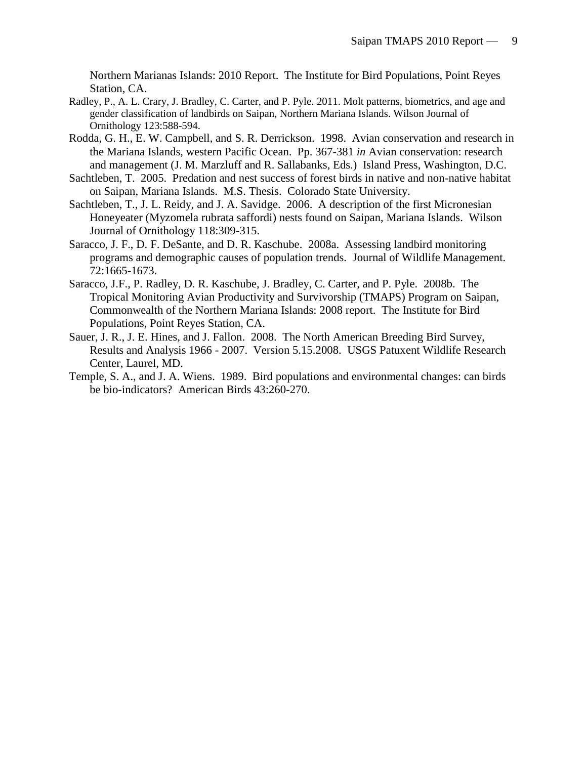Northern Marianas Islands: 2010 Report. The Institute for Bird Populations, Point Reyes Station, CA.

- Radley, P., A. L. Crary, J. Bradley, C. Carter, and P. Pyle. 2011. Molt patterns, biometrics, and age and gender classification of landbirds on Saipan, Northern Mariana Islands. Wilson Journal of Ornithology 123:588-594.
- Rodda, G. H., E. W. Campbell, and S. R. Derrickson. 1998. Avian conservation and research in the Mariana Islands, western Pacific Ocean. Pp. 367-381 *in* Avian conservation: research and management (J. M. Marzluff and R. Sallabanks, Eds.) Island Press, Washington, D.C.
- Sachtleben, T. 2005. Predation and nest success of forest birds in native and non-native habitat on Saipan, Mariana Islands. M.S. Thesis. Colorado State University.
- Sachtleben, T., J. L. Reidy, and J. A. Savidge. 2006. A description of the first Micronesian Honeyeater (Myzomela rubrata saffordi) nests found on Saipan, Mariana Islands. Wilson Journal of Ornithology 118:309-315.
- Saracco, J. F., D. F. DeSante, and D. R. Kaschube. 2008a. Assessing landbird monitoring programs and demographic causes of population trends. Journal of Wildlife Management. 72:1665-1673.
- Saracco, J.F., P. Radley, D. R. Kaschube, J. Bradley, C. Carter, and P. Pyle. 2008b. The Tropical Monitoring Avian Productivity and Survivorship (TMAPS) Program on Saipan, Commonwealth of the Northern Mariana Islands: 2008 report. The Institute for Bird Populations, Point Reyes Station, CA.
- Sauer, J. R., J. E. Hines, and J. Fallon. 2008. The North American Breeding Bird Survey, Results and Analysis 1966 - 2007. Version 5.15.2008. USGS Patuxent Wildlife Research Center, Laurel, MD.
- Temple, S. A., and J. A. Wiens. 1989. Bird populations and environmental changes: can birds be bio-indicators? American Birds 43:260-270.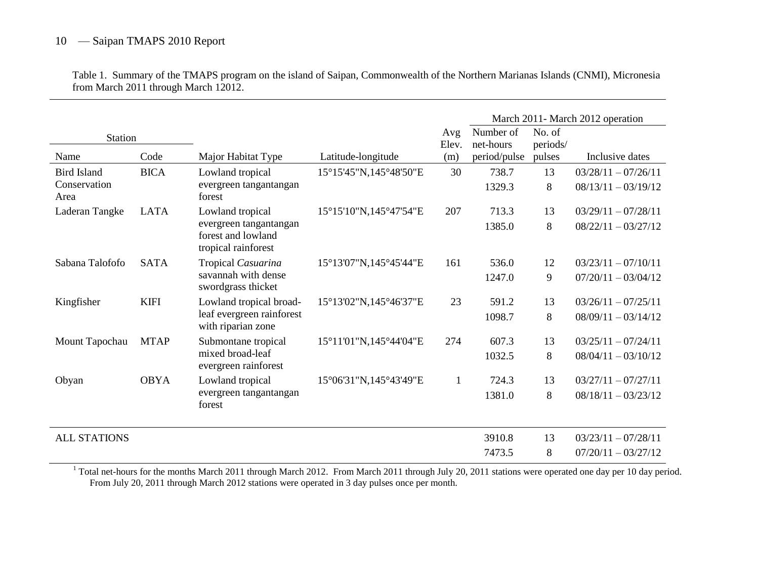Table 1. Summary of the TMAPS program on the island of Saipan, Commonwealth of the Northern Marianas Islands (CNMI), Micronesia from March 2011 through March 12012.

|                      |             |                                                                     |                        |              |              |          | March 2011- March 2012 operation |
|----------------------|-------------|---------------------------------------------------------------------|------------------------|--------------|--------------|----------|----------------------------------|
| <b>Station</b>       |             |                                                                     |                        | Avg          | Number of    | No. of   |                                  |
|                      |             |                                                                     |                        | Elev.        | net-hours    | periods/ |                                  |
| Name                 | Code        | Major Habitat Type                                                  | Latitude-longitude     | (m)          | period/pulse | pulses   | Inclusive dates                  |
| <b>Bird Island</b>   | <b>BICA</b> | Lowland tropical                                                    | 15°15'45"N,145°48'50"E | 30           | 738.7        | 13       | $03/28/11 - 07/26/11$            |
| Conservation<br>Area |             | evergreen tangantangan<br>forest                                    |                        |              | 1329.3       | 8        | $08/13/11 - 03/19/12$            |
| Laderan Tangke       | <b>LATA</b> | Lowland tropical                                                    | 15°15'10"N,145°47'54"E | 207          | 713.3        | 13       | $03/29/11 - 07/28/11$            |
|                      |             | evergreen tangantangan<br>forest and lowland<br>tropical rainforest |                        |              | 1385.0       | 8        | $08/22/11 - 03/27/12$            |
| Sabana Talofofo      | <b>SATA</b> | Tropical Casuarina                                                  | 15°13'07"N,145°45'44"E | 161          | 536.0        | 12       | $03/23/11 - 07/10/11$            |
|                      |             | savannah with dense<br>swordgrass thicket                           |                        |              | 1247.0       | 9        | $07/20/11 - 03/04/12$            |
| Kingfisher           | <b>KIFI</b> | Lowland tropical broad-                                             | 15°13'02"N,145°46'37"E | 23           | 591.2        | 13       | $03/26/11 - 07/25/11$            |
|                      |             | leaf evergreen rainforest<br>with riparian zone                     |                        |              | 1098.7       | 8        | $08/09/11 - 03/14/12$            |
| Mount Tapochau       | <b>MTAP</b> | Submontane tropical                                                 | 15°11'01"N,145°44'04"E | 274          | 607.3        | 13       | $03/25/11 - 07/24/11$            |
|                      |             | mixed broad-leaf<br>evergreen rainforest                            |                        |              | 1032.5       | 8        | $08/04/11 - 03/10/12$            |
| Obyan                | <b>OBYA</b> | Lowland tropical                                                    | 15°06'31"N,145°43'49"E | $\mathbf{1}$ | 724.3        | 13       | $03/27/11 - 07/27/11$            |
|                      |             | evergreen tangantangan<br>forest                                    |                        |              | 1381.0       | 8        | $08/18/11 - 03/23/12$            |
|                      |             |                                                                     |                        |              |              |          |                                  |
| <b>ALL STATIONS</b>  |             |                                                                     |                        |              | 3910.8       | 13       | $03/23/11 - 07/28/11$            |
|                      |             |                                                                     |                        |              | 7473.5       | 8        | $07/20/11 - 03/27/12$            |

<sup>1</sup> Total net-hours for the months March 2011 through March 2012. From March 2011 through July 20, 2011 stations were operated one day per 10 day period. From July 20, 2011 through March 2012 stations were operated in 3 day pulses once per month.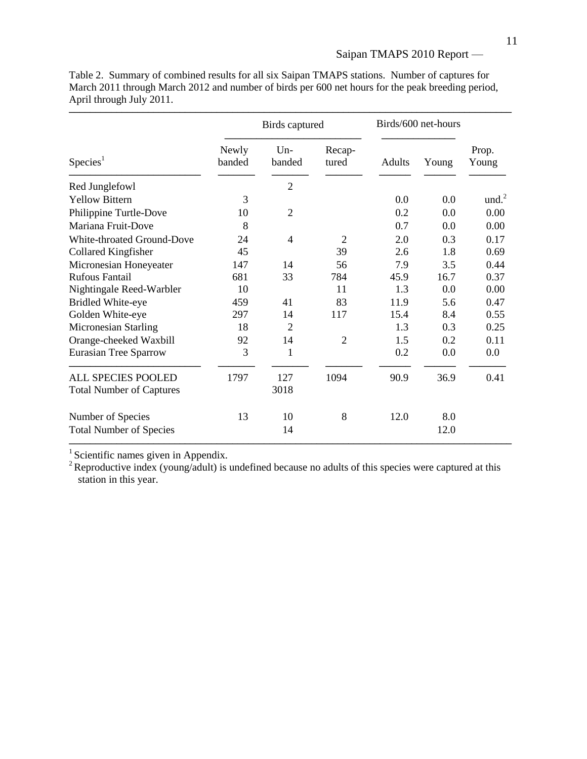Table 2. Summary of combined results for all six Saipan TMAPS stations. Number of captures for March 2011 through March 2012 and number of birds per 600 net hours for the peak breeding period, April through July 2011.

|                                   |                 | Birds captured  |                 | Birds/600 net-hours |       |                   |
|-----------------------------------|-----------------|-----------------|-----------------|---------------------|-------|-------------------|
| Species <sup>1</sup>              | Newly<br>banded | $Um-$<br>banded | Recap-<br>tured | <b>Adults</b>       | Young | Prop.<br>Young    |
| Red Junglefowl                    |                 | $\mathfrak{2}$  |                 |                     |       |                   |
| <b>Yellow Bittern</b>             | 3               |                 |                 | 0.0                 | 0.0   | und. <sup>2</sup> |
| Philippine Turtle-Dove            | 10              | $\overline{2}$  |                 | 0.2                 | 0.0   | 0.00              |
| Mariana Fruit-Dove                | 8               |                 |                 | 0.7                 | 0.0   | 0.00              |
| <b>White-throated Ground-Dove</b> | 24              | $\overline{4}$  | $\overline{2}$  | 2.0                 | 0.3   | 0.17              |
| <b>Collared Kingfisher</b>        | 45              |                 | 39              | 2.6                 | 1.8   | 0.69              |
| Micronesian Honeyeater            | 147             | 14              | 56              | 7.9                 | 3.5   | 0.44              |
| <b>Rufous Fantail</b>             | 681             | 33              | 784             | 45.9                | 16.7  | 0.37              |
| Nightingale Reed-Warbler          | 10              |                 | 11              | 1.3                 | 0.0   | 0.00              |
| <b>Bridled White-eye</b>          | 459             | 41              | 83              | 11.9                | 5.6   | 0.47              |
| Golden White-eye                  | 297             | 14              | 117             | 15.4                | 8.4   | 0.55              |
| Micronesian Starling              | 18              | $\overline{2}$  |                 | 1.3                 | 0.3   | 0.25              |
| Orange-cheeked Waxbill            | 92              | 14              | $\overline{2}$  | 1.5                 | 0.2   | 0.11              |
| <b>Eurasian Tree Sparrow</b>      | 3               | 1               |                 | 0.2                 | 0.0   | 0.0               |
| <b>ALL SPECIES POOLED</b>         | 1797            | 127             | 1094            | 90.9                | 36.9  | 0.41              |
| <b>Total Number of Captures</b>   |                 | 3018            |                 |                     |       |                   |
| Number of Species                 | 13              | 10              | 8               | 12.0                | 8.0   |                   |
| <b>Total Number of Species</b>    |                 | 14              |                 |                     | 12.0  |                   |

 $<sup>1</sup>$  Scientific names given in Appendix.</sup>

<sup>2</sup> Reproductive index (young/adult) is undefined because no adults of this species were captured at this station in this year.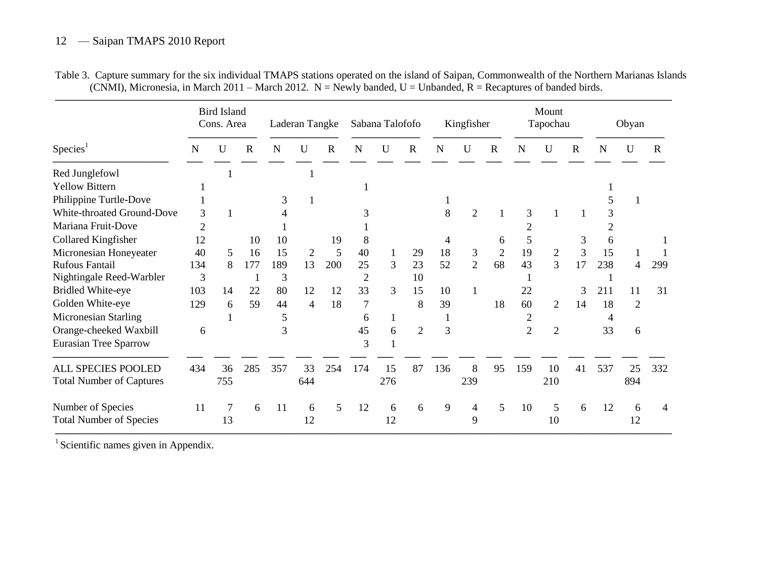|                                 |                | <b>Bird Island</b><br>Cons. Area |              |     | Laderan Tangke |     |                | Sabana Talofofo |                |     | Kingfisher     |                |                | Mount<br>Tapochau |              |     | Obyan |     |
|---------------------------------|----------------|----------------------------------|--------------|-----|----------------|-----|----------------|-----------------|----------------|-----|----------------|----------------|----------------|-------------------|--------------|-----|-------|-----|
| Species <sup>1</sup>            | N              | $\mathbf U$                      | $\mathbf R$  | N   | U              | R   | N              | U               | R              | N   | U              | $\mathbf R$    | N              | U                 | $\mathbb{R}$ | N   | U     | R   |
| Red Junglefowl                  |                |                                  |              |     |                |     |                |                 |                |     |                |                |                |                   |              |     |       |     |
| <b>Yellow Bittern</b>           |                |                                  |              |     |                |     |                |                 |                |     |                |                |                |                   |              |     |       |     |
| Philippine Turtle-Dove          |                |                                  |              | 3   |                |     |                |                 |                |     |                |                |                |                   |              |     |       |     |
| White-throated Ground-Dove      | 3              | 1                                |              |     |                |     |                |                 |                | 8   | 2              |                | 3              |                   |              | 3   |       |     |
| Mariana Fruit-Dove              | $\overline{2}$ |                                  |              |     |                |     |                |                 |                |     |                |                |                |                   |              |     |       |     |
| Collared Kingfisher             | 12             |                                  | 10           | 10  |                | 19  | 8              |                 |                | 4   |                | 6              | 5              |                   | 3            | 6   |       |     |
| Micronesian Honeyeater          | 40             | 5                                | 16           | 15  | 2              | 5   | 40             |                 | 29             | 18  | 3              | $\overline{2}$ | 19             | $\overline{2}$    | 3            | 15  |       |     |
| <b>Rufous Fantail</b>           | 134            | 8                                | 177          | 189 | 13             | 200 | 25             | $\mathcal{R}$   | 23             | 52  | $\overline{2}$ | 68             | 43             | 3                 | 17           | 238 | 4     | 299 |
| Nightingale Reed-Warbler        | 3              |                                  | $\mathbf{1}$ | 3   |                |     | $\overline{2}$ |                 | 10             |     |                |                |                |                   |              |     |       |     |
| <b>Bridled White-eye</b>        | 103            | 14                               | 22           | 80  | 12             | 12  | 33             | 3               | 15             | 10  | 1              |                | 22             |                   | 3            | 211 | 11    | 31  |
| Golden White-eye                | 129            | 6                                | 59           | 44  | 4              | 18  | 7              |                 | 8              | 39  |                | 18             | 60             | 2                 | 14           | 18  | 2     |     |
| <b>Micronesian Starling</b>     |                |                                  |              | 5   |                |     | 6              |                 |                |     |                |                | $\overline{c}$ |                   |              |     |       |     |
| Orange-cheeked Waxbill          | 6              |                                  |              | 3   |                |     | 45             | 6               | $\overline{2}$ | 3   |                |                | $\overline{2}$ | $\overline{2}$    |              | 33  | 6     |     |
| <b>Eurasian Tree Sparrow</b>    |                |                                  |              |     |                |     | 3              |                 |                |     |                |                |                |                   |              |     |       |     |
| ALL SPECIES POOLED              | 434            | 36                               | 285          | 357 | 33             | 254 | 174            | 15              | 87             | 136 | 8              | 95             | 159            | 10                | 41           | 537 | 25    | 332 |
| <b>Total Number of Captures</b> |                | 755                              |              |     | 644            |     |                | 276             |                |     | 239            |                |                | 210               |              |     | 894   |     |
| Number of Species               | 11             | 7                                | 6            | 11  | 6              | 5   | 12             | 6               | 6              | 9   | 4              | 5              | 10             | 5                 | 6            | 12  | 6     |     |
| <b>Total Number of Species</b>  |                | 13                               |              |     | 12             |     |                | 12              |                |     | 9              |                |                | 10                |              |     | 12    |     |

Table 3. Capture summary for the six individual TMAPS stations operated on the island of Saipan, Commonwealth of the Northern Marianas Islands (CNMI), Micronesia, in March 2011 – March 2012. N = Newly banded, U = Unbanded, R = Recaptures of banded birds.

 $<sup>1</sup>$  Scientific names given in Appendix.</sup>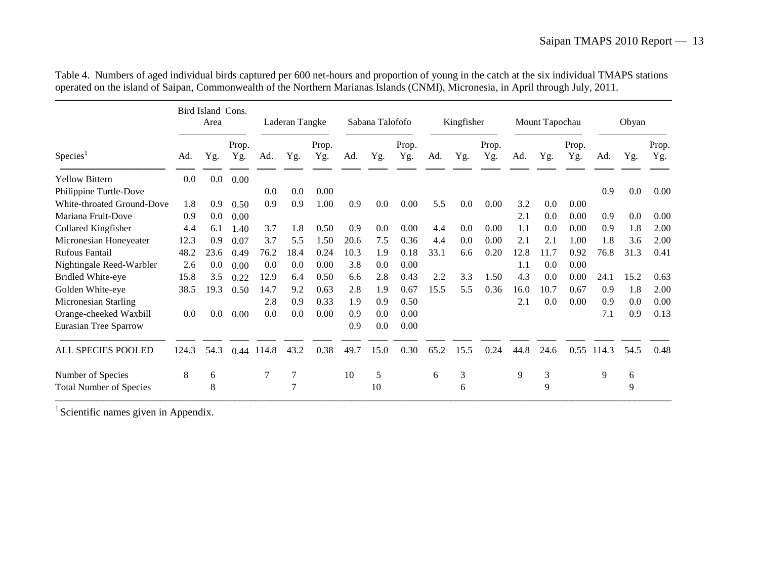|                                |       | Bird Island Cons.<br>Area |              |       | Laderan Tangke |              |      | Sabana Talofofo |              |      | Kingfisher |              |      | Mount Tapochau |              |       | Obyan |              |
|--------------------------------|-------|---------------------------|--------------|-------|----------------|--------------|------|-----------------|--------------|------|------------|--------------|------|----------------|--------------|-------|-------|--------------|
| Species <sup>1</sup>           | Ad.   | Yg.                       | Prop.<br>Yg. | Ad.   | Yg.            | Prop.<br>Yg. | Ad.  | Yg.             | Prop.<br>Yg. | Ad.  | Yg.        | Prop.<br>Yg. | Ad.  | Yg.            | Prop.<br>Yg. | Ad.   | Yg.   | Prop.<br>Yg. |
| <b>Yellow Bittern</b>          | 0.0   | 0.0                       | 0.00         |       |                |              |      |                 |              |      |            |              |      |                |              |       |       |              |
| Philippine Turtle-Dove         |       |                           |              | 0.0   | 0.0            | 0.00         |      |                 |              |      |            |              |      |                |              | 0.9   | 0.0   | 0.00         |
| White-throated Ground-Dove     | 1.8   | 0.9                       | 0.50         | 0.9   | 0.9            | 1.00         | 0.9  | 0.0             | 0.00         | 5.5  | 0.0        | 0.00         | 3.2  | 0.0            | 0.00         |       |       |              |
| Mariana Fruit-Dove             | 0.9   | 0.0                       | 0.00         |       |                |              |      |                 |              |      |            |              | 2.1  | 0.0            | 0.00         | 0.9   | 0.0   | 0.00         |
| <b>Collared Kingfisher</b>     | 4.4   | 6.1                       | 1.40         | 3.7   | 1.8            | 0.50         | 0.9  | 0.0             | 0.00         | 4.4  | 0.0        | 0.00         | 1.1  | 0.0            | 0.00         | 0.9   | 1.8   | 2.00         |
| Micronesian Honeyeater         | 12.3  | 0.9                       | 0.07         | 3.7   | 5.5            | 1.50         | 20.6 | 7.5             | 0.36         | 4.4  | 0.0        | 0.00         | 2.1  | 2.1            | 1.00         | 1.8   | 3.6   | 2.00         |
| Rufous Fantail                 | 48.2  | 23.6                      | 0.49         | 76.2  | 18.4           | 0.24         | 10.3 | 1.9             | 0.18         | 33.1 | 6.6        | 0.20         | 12.8 | 11.7           | 0.92         | 76.8  | 31.3  | 0.41         |
| Nightingale Reed-Warbler       | 2.6   | 0.0                       | 0.00         | 0.0   | 0.0            | 0.00         | 3.8  | 0.0             | 0.00         |      |            |              | 1.1  | 0.0            | 0.00         |       |       |              |
| <b>Bridled White-eye</b>       | 15.8  | 3.5                       | 0.22         | 12.9  | 6.4            | 0.50         | 6.6  | 2.8             | 0.43         | 2.2  | 3.3        | 1.50         | 4.3  | 0.0            | 0.00         | 24.1  | 15.2  | 0.63         |
| Golden White-eye               | 38.5  | 19.3                      | 0.50         | 14.7  | 9.2            | 0.63         | 2.8  | 1.9             | 0.67         | 15.5 | 5.5        | 0.36         | 16.0 | 10.7           | 0.67         | 0.9   | 1.8   | 2.00         |
| Micronesian Starling           |       |                           |              | 2.8   | 0.9            | 0.33         | 1.9  | 0.9             | 0.50         |      |            |              | 2.1  | 0.0            | 0.00         | 0.9   | 0.0   | 0.00         |
| Orange-cheeked Waxbill         | 0.0   | 0.0                       | 0.00         | 0.0   | 0.0            | 0.00         | 0.9  | 0.0             | 0.00         |      |            |              |      |                |              | 7.1   | 0.9   | 0.13         |
| <b>Eurasian Tree Sparrow</b>   |       |                           |              |       |                |              | 0.9  | 0.0             | 0.00         |      |            |              |      |                |              |       |       |              |
| ALL SPECIES POOLED             | 124.3 | 54.3                      | 0.44         | 114.8 | 43.2           | 0.38         | 49.7 | 15.0            | 0.30         | 65.2 | 15.5       | 0.24         | 44.8 | 24.6           | 0.55         | 114.3 | 54.5  | 0.48         |
| Number of Species              | 8     | 6                         |              | 7     |                |              | 10   | 5               |              | 6    | 3          |              | 9    | 3              |              | 9     | 6     |              |
| <b>Total Number of Species</b> |       | 8                         |              |       |                |              |      | 10              |              |      | 6          |              |      | 9              |              |       | 9     |              |

Table 4. Numbers of aged individual birds captured per 600 net-hours and proportion of young in the catch at the six individual TMAPS stations operated on the island of Saipan, Commonwealth of the Northern Marianas Islands (CNMI), Micronesia, in April through July, 2011.

 $<sup>1</sup>$  Scientific names given in Appendix.</sup>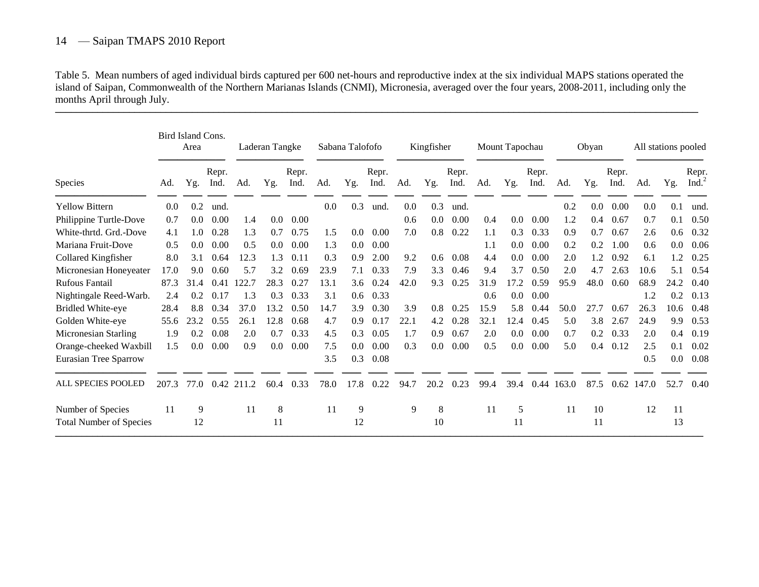Table 5. Mean numbers of aged individual birds captured per 600 net-hours and reproductive index at the six individual MAPS stations operated the island of Saipan, Commonwealth of the Northern Marianas Islands (CNMI), Micronesia, averaged over the four years, 2008-2011, including only the months April through July.

––––––––––––––––––––––––––––––––––––––––––––––––––––––––––––––––––––––––––––––––––––––––––––––––––––––––––––––––––––––––––

|                                | Bird Island Cons. | Area    |               |       | Laderan Tangke |               |      | Sabana Talofofo |               |      | Kingfisher |               |      | Mount Tapochau |               |            | Obyan |               | All stations pooled |      |                      |
|--------------------------------|-------------------|---------|---------------|-------|----------------|---------------|------|-----------------|---------------|------|------------|---------------|------|----------------|---------------|------------|-------|---------------|---------------------|------|----------------------|
| Species                        | Ad.               | Yg.     | Repr.<br>Ind. | Ad.   | Yg.            | Repr.<br>Ind. | Ad.  | Yg.             | Repr.<br>Ind. | Ad.  | Yg.        | Repr.<br>Ind. | Ad.  | Yg.            | Repr.<br>Ind. | Ad.        | Yg.   | Repr.<br>Ind. | Ad.                 | Yg.  | Repr.<br>Ind. $^{2}$ |
| <b>Yellow Bittern</b>          | 0.0               | 0.2     | und.          |       |                |               | 0.0  | 0.3             | und.          | 0.0  | 0.3        | und.          |      |                |               | 0.2        | 0.0   | 0.00          | 0.0                 | 0.1  | und                  |
| Philippine Turtle-Dove         | 0.7               | $0.0\,$ | 0.00          | 1.4   | 0.0            | 0.00          |      |                 |               | 0.6  | 0.0        | 0.00          | 0.4  | 0.0            | 0.00          | 1.2        | 0.4   | 0.67          | 0.7                 | 0.1  | 0.50                 |
| White-thrtd. Grd.-Dove         | 4.1               | 1.0     | 0.28          | 1.3   | 0.7            | 0.75          | 1.5  | 0.0             | 0.00          | 7.0  | 0.8        | 0.22          | 1.1  | 0.3            | 0.33          | 0.9        | 0.7   | 0.67          | 2.6                 | 0.6  | 0.32                 |
| Mariana Fruit-Dove             | 0.5               | $0.0\,$ | 0.00          | 0.5   | 0.0            | 0.00          | 1.3  | 0.0             | 0.00          |      |            |               | 1.1  | 0.0            | 0.00          | 0.2        | 0.2   | 1.00          | 0.6                 | 0.0  | 0.06                 |
| <b>Collared Kingfisher</b>     | 8.0               | 3.1     | 0.64          | 12.3  | 1.3            | 0.11          | 0.3  | 0.9             | 2.00          | 9.2  | 0.6        | 0.08          | 4.4  | 0.0            | 0.00          | 2.0        | 1.2   | 0.92          | 6.1                 | 1.2  | 0.25                 |
| Micronesian Honeyeater         | 17.0              | 9.0     | 0.60          | 5.7   | 3.2            | 0.69          | 23.9 | 7.1             | 0.33          | 7.9  | 3.3        | 0.46          | 9.4  | 3.7            | 0.50          | 2.0        | 4.7   | 2.63          | 10.6                | 5.1  | 0.54                 |
| <b>Rufous Fantail</b>          | 87.3              | 31.4    | 0.41          | 122.7 | 28.3           | 0.27          | 13.1 | 3.6             | 0.24          | 42.0 | 9.3        | 0.25          | 31.9 | 17.2           | 0.59          | 95.9       | 48.0  | 0.60          | 68.9                | 24.2 | 0.40                 |
| Nightingale Reed-Warb.         | 2.4               | 0.2     | 0.17          | 1.3   | 0.3            | 0.33          | 3.1  | 0.6             | 0.33          |      |            |               | 0.6  | 0.0            | 0.00          |            |       |               | 1.2                 | 0.2  | 0.13                 |
| <b>Bridled White-eye</b>       | 28.4              | 8.8     | 0.34          | 37.0  | 13.2           | 0.50          | 14.7 | 3.9             | 0.30          | 3.9  | 0.8        | 0.25          | 15.9 | 5.8            | 0.44          | 50.0       | 27.7  | 0.67          | 26.3                | 10.6 | 0.48                 |
| Golden White-eye               | 55.6              | 23.2    | 0.55          | 26.1  | 12.8           | 0.68          | 4.7  | 0.9             | 0.17          | 22.1 | 4.2        | 0.28          | 32.1 | 12.4           | 0.45          | 5.0        | 3.8   | 2.67          | 24.9                | 9.9  | 0.53                 |
| Micronesian Starling           | 1.9               | 0.2     | 0.08          | 2.0   | 0.7            | 0.33          | 4.5  | 0.3             | 0.05          | 1.7  | 0.9        | 0.67          | 2.0  | 0.0            | 0.00          | 0.7        | 0.2   | 0.33          | 2.0                 | 0.4  | 0.19                 |
| Orange-cheeked Waxbill         | 1.5               | $0.0\,$ | 0.00          | 0.9   | 0.0            | 0.00          | 7.5  | 0.0             | 0.00          | 0.3  | 0.0        | 0.00          | 0.5  | 0.0            | 0.00          | 5.0        | 0.4   | 0.12          | 2.5                 | 0.1  | 0.02                 |
| <b>Eurasian Tree Sparrow</b>   |                   |         |               |       |                |               | 3.5  | 0.3             | 0.08          |      |            |               |      |                |               |            |       |               | 0.5                 | 0.0  | 0.08                 |
| <b>ALL SPECIES POOLED</b>      | 207.3             | 77.0    | 0.42          | 211.2 | 60.4           | 0.33          | 78.0 | 17.8            | 0.22          | 94.7 | 20.2       | 0.23          | 99.4 | 39.4           |               | 0.44 163.0 | 87.5  | 0.62          | 147.0               | 52.7 | 0.40                 |
| Number of Species              | 11                | 9       |               | 11    | 8              |               | 11   | 9               |               | 9    | 8          |               | 11   | 5              |               | 11         | 10    |               | 12                  | 11   |                      |
| <b>Total Number of Species</b> |                   | 12      |               |       | 11             |               |      | 12              |               |      | 10         |               |      | 11             |               |            | 11    |               |                     | 13   |                      |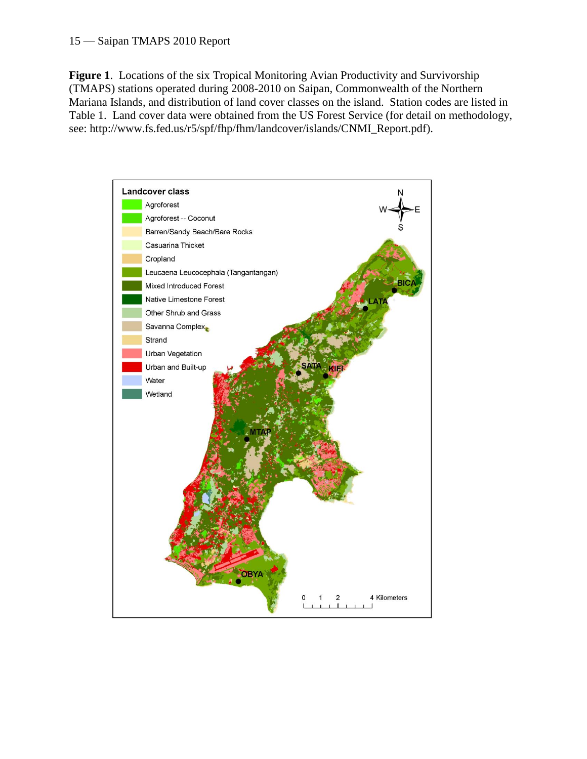**Figure 1**. Locations of the six Tropical Monitoring Avian Productivity and Survivorship (TMAPS) stations operated during 2008-2010 on Saipan, Commonwealth of the Northern Mariana Islands, and distribution of land cover classes on the island. Station codes are listed in Table 1. Land cover data were obtained from the US Forest Service (for detail on methodology, see: http://www.fs.fed.us/r5/spf/fhp/fhm/landcover/islands/CNMI\_Report.pdf).

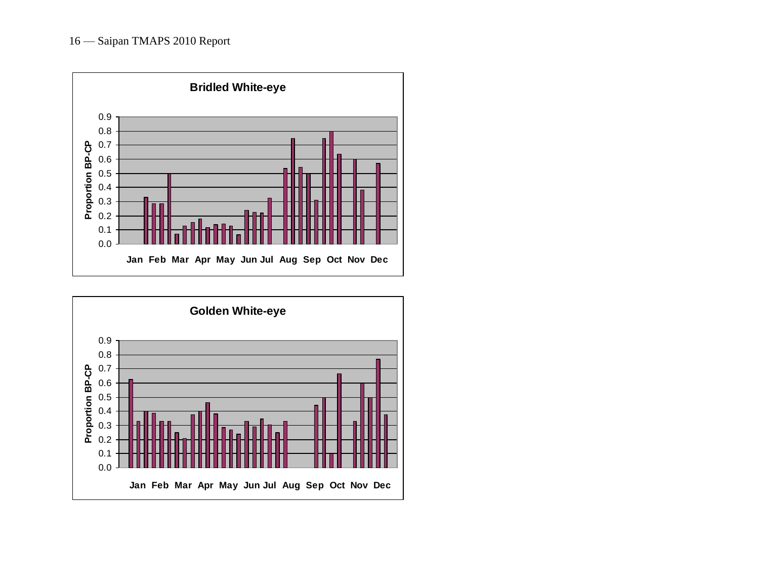

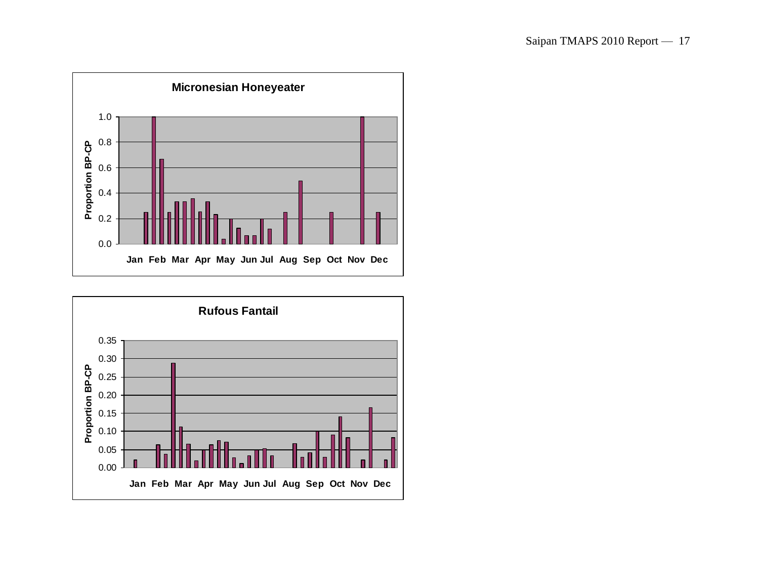

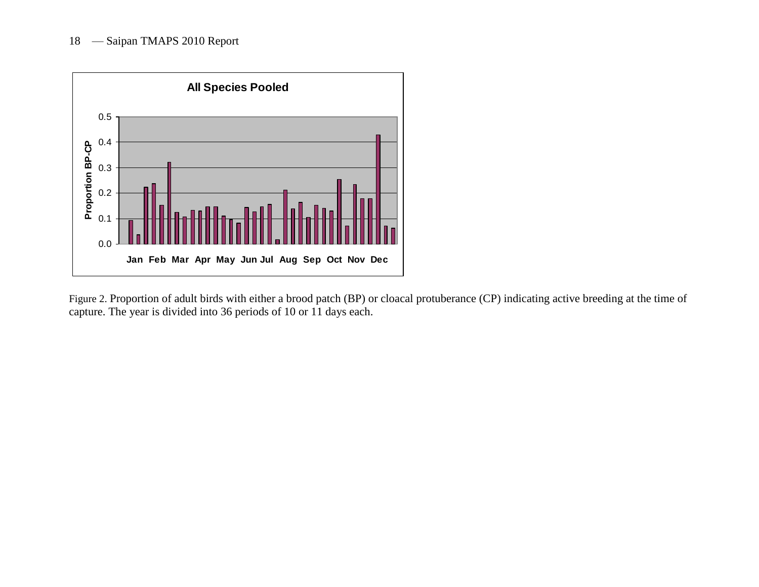

Figure 2. Proportion of adult birds with either a brood patch (BP) or cloacal protuberance (CP) indicating active breeding at the time of capture. The year is divided into 36 periods of 10 or 11 days each.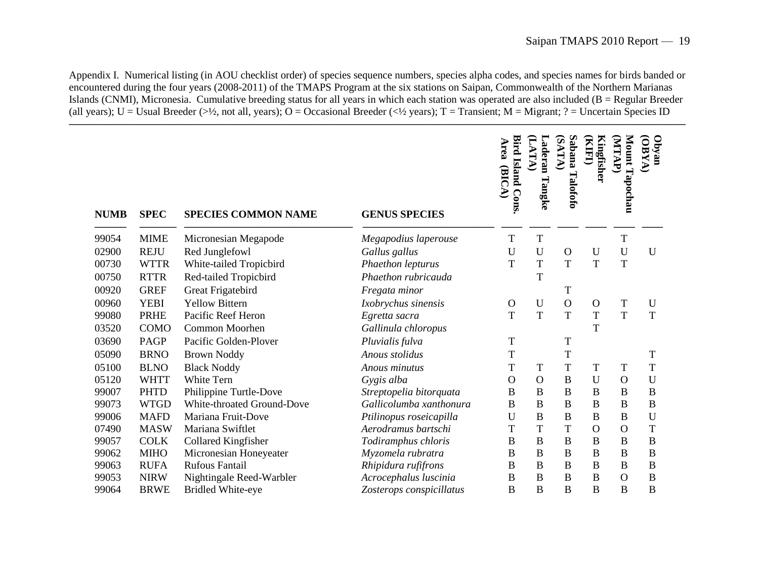Appendix I. Numerical listing (in AOU checklist order) of species sequence numbers, species alpha codes, and species names for birds banded or encountered during the four years (2008-2011) of the TMAPS Program at the six stations on Saipan, Commonwealth of the Northern Marianas Islands (CNMI), Micronesia. Cumulative breeding status for all years in which each station was operated are also included (B = Regular Breeder (all years); U = Usual Breeder (>½, not all, years); O = Occasional Breeder (<½ years); T = Transient; M = Migrant; ? = Uncertain Species ID

–––––––––––––––––––––––––––––––––––––––––––––––––––––––––––––––––––––––––––––––––––––––––––––––––––––––––––––––––––––

| <b>NUMB</b> | <b>SPEC</b> | <b>SPECIES COMMON NAME</b> | <b>GENUS SPECIES</b>     | <b>Bird Island Cons</b><br>Area<br>(BICA) | <b>LATA</b><br>Laderan<br>Tangke | Sabana<br>(SATA)<br>Talofofo | KIFIL<br>Kingfisher | Mount Tapochau<br>(MTAP) | VX3O<br>Obyan  |
|-------------|-------------|----------------------------|--------------------------|-------------------------------------------|----------------------------------|------------------------------|---------------------|--------------------------|----------------|
| 99054       | <b>MIME</b> | Micronesian Megapode       | Megapodius laperouse     | T                                         | $\mathbf T$                      |                              |                     | $\mathbf T$              |                |
| 02900       | <b>REJU</b> | Red Junglefowl             | Gallus gallus            | U                                         | $\mathbf U$                      | $\Omega$                     | U                   | $\mathbf U$              | $\mathbf U$    |
| 00730       | <b>WTTR</b> | White-tailed Tropicbird    | Phaethon lepturus        | T                                         | $\mathbf T$                      | T                            | T                   | T                        |                |
| 00750       | <b>RTTR</b> | Red-tailed Tropicbird      | Phaethon rubricauda      |                                           | T                                |                              |                     |                          |                |
| 00920       | <b>GREF</b> | Great Frigatebird          | Fregata minor            |                                           |                                  | T                            |                     |                          |                |
| 00960       | <b>YEBI</b> | <b>Yellow Bittern</b>      | Ixobrychus sinensis      | $\mathbf{O}$                              | $\mathbf U$                      | $\mathbf{O}$                 | $\mathbf O$         | T                        | $\mathbf U$    |
| 99080       | <b>PRHE</b> | Pacific Reef Heron         | Egretta sacra            | T                                         | $\mathbf T$                      | T                            | T                   | T                        | $\mathbf T$    |
| 03520       | <b>COMO</b> | Common Moorhen             | Gallinula chloropus      |                                           |                                  |                              | T                   |                          |                |
| 03690       | PAGP        | Pacific Golden-Plover      | Pluvialis fulva          | T                                         |                                  | T                            |                     |                          |                |
| 05090       | <b>BRNO</b> | <b>Brown Noddy</b>         | Anous stolidus           | T                                         |                                  | T                            |                     |                          | $\mathbf T$    |
| 05100       | <b>BLNO</b> | <b>Black Noddy</b>         | Anous minutus            | T                                         | T                                | T                            | T                   | T                        | T              |
| 05120       | <b>WHTT</b> | White Tern                 | Gygis alba               | $\Omega$                                  | $\mathbf{O}$                     | B                            | U                   | $\Omega$                 | U              |
| 99007       | <b>PHTD</b> | Philippine Turtle-Dove     | Streptopelia bitorquata  | B                                         | $\bf{B}$                         | $\boldsymbol{B}$             | B                   | $\mathbf B$              | $\, {\bf B}$   |
| 99073       | <b>WTGD</b> | White-throated Ground-Dove | Gallicolumba xanthonura  | B                                         | $\overline{B}$                   | $\mathbf B$                  | B                   | $\bf{B}$                 | $\overline{B}$ |
| 99006       | <b>MAFD</b> | Mariana Fruit-Dove         | Ptilinopus roseicapilla  | U                                         | $\, {\bf B}$                     | $\boldsymbol{B}$             | B                   | $\bf{B}$                 | $\mathbf U$    |
| 07490       | <b>MASW</b> | Mariana Swiftlet           | Aerodramus bartschi      | T                                         | T                                | T                            | $\Omega$            | $\Omega$                 | $\mathbf T$    |
| 99057       | <b>COLK</b> | Collared Kingfisher        | Todiramphus chloris      | B                                         | $\, {\bf B}$                     | $\boldsymbol{B}$             | B                   | $\bf{B}$                 | $\, {\bf B}$   |
| 99062       | <b>MIHO</b> | Micronesian Honeyeater     | Myzomela rubratra        | B                                         | $\overline{B}$                   | $\mathbf B$                  | B                   | $\bf{B}$                 | $\, {\bf B}$   |
| 99063       | <b>RUFA</b> | <b>Rufous Fantail</b>      | Rhipidura rufifrons      | B                                         | $\, {\bf B}$                     | $\boldsymbol{B}$             | B                   | $\bf{B}$                 | $\, {\bf B}$   |
| 99053       | <b>NIRW</b> | Nightingale Reed-Warbler   | Acrocephalus luscinia    | B                                         | $\, {\bf B}$                     | $\boldsymbol{B}$             | B                   | $\Omega$                 | $\, {\bf B}$   |
| 99064       | <b>BRWE</b> | <b>Bridled White-eye</b>   | Zosterops conspicillatus | B                                         | B                                | B                            | B                   | B                        | B              |